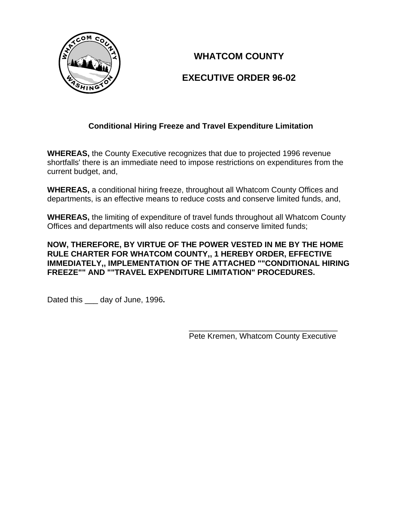

# **WHATCOM COUNTY**

# **EXECUTIVE ORDER 96-02**

## **Conditional Hiring Freeze and Travel Expenditure Limitation**

**WHEREAS,** the County Executive recognizes that due to projected 1996 revenue shortfalls' there is an immediate need to impose restrictions on expenditures from the current budget, and,

**WHEREAS,** a conditional hiring freeze, throughout all Whatcom County Offices and departments, is an effective means to reduce costs and conserve limited funds, and,

**WHEREAS,** the limiting of expenditure of travel funds throughout all Whatcom County Offices and departments will also reduce costs and conserve limited funds;

### **NOW, THEREFORE, BY VIRTUE OF THE POWER VESTED IN ME BY THE HOME RULE CHARTER FOR WHATCOM COUNTY,, 1 HEREBY ORDER, EFFECTIVE IMMEDIATELY,, IMPLEMENTATION OF THE ATTACHED ""CONDITIONAL HIRING FREEZE"" AND ""TRAVEL EXPENDITURE LIMITATION" PROCEDURES.**

Dated this \_\_\_ day of June, 1996**.**

 $\frac{1}{\sqrt{2}}$  ,  $\frac{1}{\sqrt{2}}$  ,  $\frac{1}{\sqrt{2}}$  ,  $\frac{1}{\sqrt{2}}$  ,  $\frac{1}{\sqrt{2}}$  ,  $\frac{1}{\sqrt{2}}$  ,  $\frac{1}{\sqrt{2}}$  ,  $\frac{1}{\sqrt{2}}$  ,  $\frac{1}{\sqrt{2}}$  ,  $\frac{1}{\sqrt{2}}$  ,  $\frac{1}{\sqrt{2}}$  ,  $\frac{1}{\sqrt{2}}$  ,  $\frac{1}{\sqrt{2}}$  ,  $\frac{1}{\sqrt{2}}$  ,  $\frac{1}{\sqrt{2}}$ Pete Kremen, Whatcom County Executive